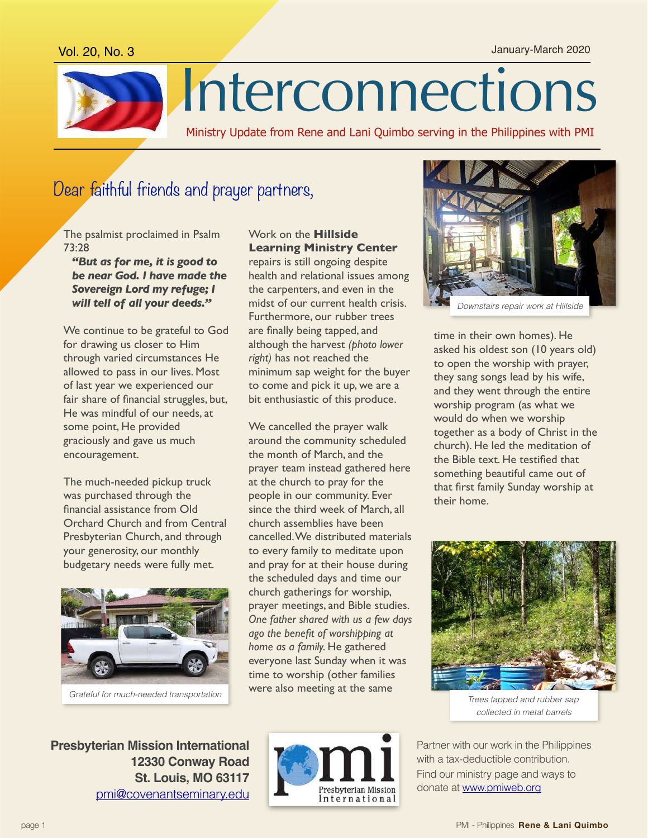Vol. 20, No. 3 January-March 2020



# Dear faithful friends and prayer partners,

The psalmist proclaimed in Psalm 73:28

*"But as for me, it is good to be near God. I have made the Sovereign Lord my refuge; I will tell of all your deeds."*

We continue to be grateful to God for drawing us closer to Him through varied circumstances He allowed to pass in our lives. Most of last year we experienced our fair share of financial struggles, but, He was mindful of our needs, at some point, He provided graciously and gave us much encouragement.

The much-needed pickup truck was purchased through the financial assistance from Old Orchard Church and from Central Presbyterian Church, and through your generosity, our monthly budgetary needs were fully met.



*Grateful for much-needed transportation*

#### Work on the **Hillside Learning Ministry Center**

repairs is still ongoing despite health and relational issues among the carpenters, and even in the midst of our current health crisis. Furthermore, our rubber trees are finally being tapped, and although the harvest *(photo lower right)* has not reached the minimum sap weight for the buyer to come and pick it up, we are a bit enthusiastic of this produce.

We cancelled the prayer walk around the community scheduled the month of March, and the prayer team instead gathered here at the church to pray for the people in our community. Ever since the third week of March, all church assemblies have been cancelled. We distributed materials to every family to meditate upon and pray for at their house during the scheduled days and time our church gatherings for worship, prayer meetings, and Bible studies. *One father shared with us a few days ago the benefit of worshipping at home as a family.* He gathered everyone last Sunday when it was time to worship (other families were also meeting at the same



time in their own homes). He asked his oldest son (10 years old) to open the worship with prayer, they sang songs lead by his wife, and they went through the entire worship program (as what we would do when we worship together as a body of Christ in the church). He led the meditation of the Bible text. He testified that something beautiful came out of that first family Sunday worship at their home.



*Trees tapped and rubber sap collected in metal barrels*

Partner with our work in the Philippines with a tax-deductible contribution. Find our ministry page and ways to donate at [www.pmiweb.org](http://www.pmiweb.org)

**Presbyterian Mission International 12330 Conway Road St. Louis, MO 63117** [pmi@covenantseminary.edu](mailto:pmi@covenantseminary.edu)